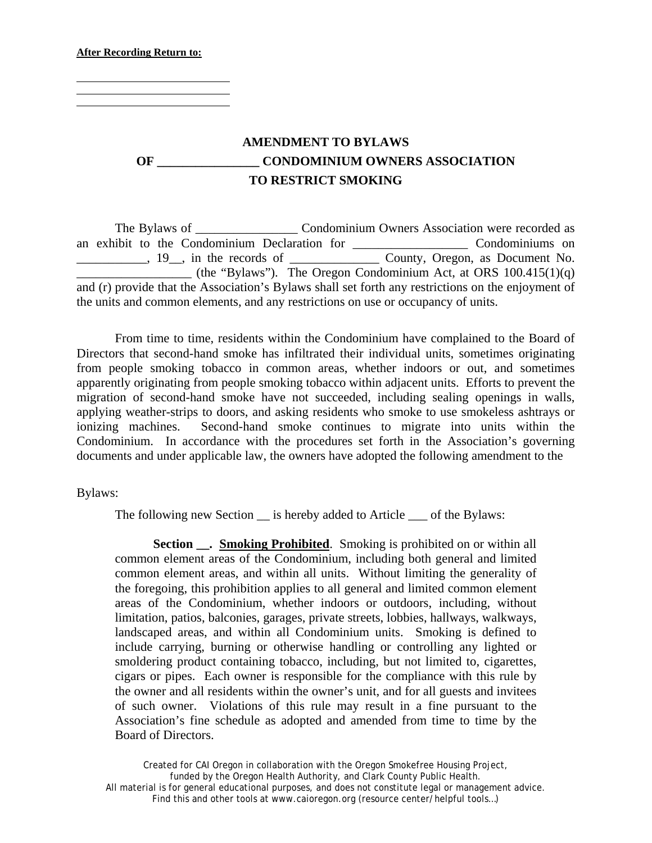**After Recording Return to:**

 $\overline{a}$  $\overline{a}$ 

## **AMENDMENT TO BYLAWS OF \_\_\_\_\_\_\_\_\_\_\_\_\_\_\_\_ CONDOMINIUM OWNERS ASSOCIATION TO RESTRICT SMOKING**

The Bylaws of \_\_\_\_\_\_\_\_\_\_\_\_\_\_\_\_\_\_\_\_ Condominium Owners Association were recorded as an exhibit to the Condominium Declaration for \_\_\_\_\_\_\_\_\_\_\_\_\_\_\_\_\_\_ Condominiums on \_\_\_\_\_\_\_\_\_\_\_, 19\_\_, in the records of \_\_\_\_\_\_\_\_\_\_\_\_\_\_ County, Oregon, as Document No.  $\qquad$  (the "Bylaws"). The Oregon Condominium Act, at ORS 100.415(1)(q) and (r) provide that the Association's Bylaws shall set forth any restrictions on the enjoyment of the units and common elements, and any restrictions on use or occupancy of units.

From time to time, residents within the Condominium have complained to the Board of Directors that second-hand smoke has infiltrated their individual units, sometimes originating from people smoking tobacco in common areas, whether indoors or out, and sometimes apparently originating from people smoking tobacco within adjacent units. Efforts to prevent the migration of second-hand smoke have not succeeded, including sealing openings in walls, applying weather-strips to doors, and asking residents who smoke to use smokeless ashtrays or ionizing machines. Second-hand smoke continues to migrate into units within the Condominium. In accordance with the procedures set forth in the Association's governing documents and under applicable law, the owners have adopted the following amendment to the

Bylaws:

The following new Section  $\equiv$  is hereby added to Article  $\equiv$  of the Bylaws:

**Section \_\_. Smoking Prohibited.** Smoking is prohibited on or within all common element areas of the Condominium, including both general and limited common element areas, and within all units. Without limiting the generality of the foregoing, this prohibition applies to all general and limited common element areas of the Condominium, whether indoors or outdoors, including, without limitation, patios, balconies, garages, private streets, lobbies, hallways, walkways, landscaped areas, and within all Condominium units. Smoking is defined to include carrying, burning or otherwise handling or controlling any lighted or smoldering product containing tobacco, including, but not limited to, cigarettes, cigars or pipes. Each owner is responsible for the compliance with this rule by the owner and all residents within the owner's unit, and for all guests and invitees of such owner. Violations of this rule may result in a fine pursuant to the Association's fine schedule as adopted and amended from time to time by the Board of Directors.

Created for CAI Oregon in collaboration with the Oregon Smokefree Housing Project, funded by the Oregon Health Authority, and Clark County Public Health. All material is for general educational purposes, and does not constitute legal or management advice. Find this and other tools at www.caioregon.org (resource center/helpful tools...)